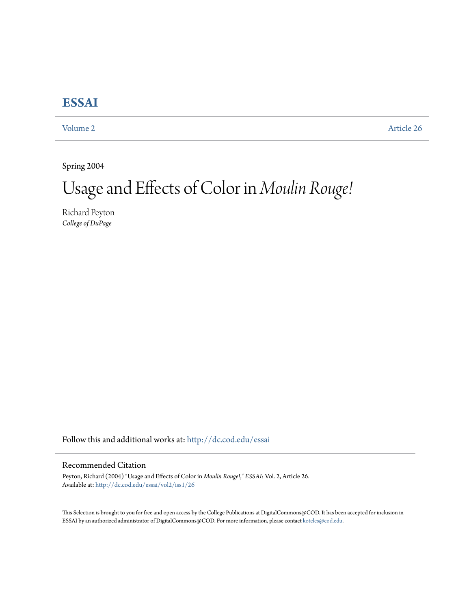# **[ESSAI](http://dc.cod.edu/essai?utm_source=dc.cod.edu%2Fessai%2Fvol2%2Fiss1%2F26&utm_medium=PDF&utm_campaign=PDFCoverPages)**

[Volume 2](http://dc.cod.edu/essai/vol2?utm_source=dc.cod.edu%2Fessai%2Fvol2%2Fiss1%2F26&utm_medium=PDF&utm_campaign=PDFCoverPages) [Article 26](http://dc.cod.edu/essai/vol2/iss1/26?utm_source=dc.cod.edu%2Fessai%2Fvol2%2Fiss1%2F26&utm_medium=PDF&utm_campaign=PDFCoverPages)

Spring 2004

# Usage and Effects of Color in *Moulin Rouge!*

Richard Peyton *College of DuPage*

Follow this and additional works at: [http://dc.cod.edu/essai](http://dc.cod.edu/essai?utm_source=dc.cod.edu%2Fessai%2Fvol2%2Fiss1%2F26&utm_medium=PDF&utm_campaign=PDFCoverPages)

## Recommended Citation

Peyton, Richard (2004) "Usage and Effects of Color in *Moulin Rouge!*," *ESSAI*: Vol. 2, Article 26. Available at: [http://dc.cod.edu/essai/vol2/iss1/26](http://dc.cod.edu/essai/vol2/iss1/26?utm_source=dc.cod.edu%2Fessai%2Fvol2%2Fiss1%2F26&utm_medium=PDF&utm_campaign=PDFCoverPages)

This Selection is brought to you for free and open access by the College Publications at DigitalCommons@COD. It has been accepted for inclusion in ESSAI by an authorized administrator of DigitalCommons@COD. For more information, please contact [koteles@cod.edu](mailto:koteles@cod.edu).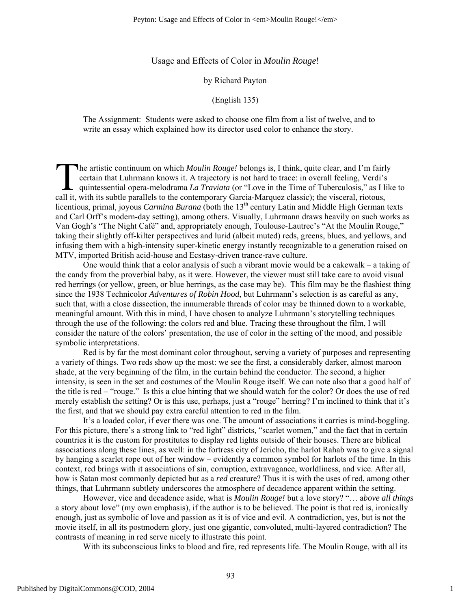## Usage and Effects of Color in *Moulin Rouge*!

#### by Richard Payton

#### (English 135)

The Assignment: Students were asked to choose one film from a list of twelve, and to write an essay which explained how its director used color to enhance the story.

he artistic continuum on which *Moulin Rouge!* belongs is, I think, quite clear, and I'm fairly certain that Luhrmann knows it. A trajectory is not hard to trace: in overall feeling, Verdi's quintessential opera-melodrama *La Traviata* (or "Love in the Time of Tuberculosis," as I like to The artistic continuum on which *Moulin Rouge!* belongs is, I think, quite clear, and I'm fairl certain that Luhrmann knows it. A trajectory is not hard to trace: in overall feeling, Verdi's quintessential opera-melodrama licentious, primal, joyous *Carmina Burana* (both the 13<sup>th</sup> century Latin and Middle High German texts and Carl Orff's modern-day setting), among others. Visually, Luhrmann draws heavily on such works as Van Gogh's "The Night Café" and, appropriately enough, Toulouse-Lautrec's "At the Moulin Rouge," taking their slightly off-kilter perspectives and lurid (albeit muted) reds, greens, blues, and yellows, and infusing them with a high-intensity super-kinetic energy instantly recognizable to a generation raised on MTV, imported British acid-house and Ecstasy-driven trance-rave culture.

One would think that a color analysis of such a vibrant movie would be a cakewalk – a taking of the candy from the proverbial baby, as it were. However, the viewer must still take care to avoid visual red herrings (or yellow, green, or blue herrings, as the case may be). This film may be the flashiest thing since the 1938 Technicolor *Adventures of Robin Hood*, but Luhrmann's selection is as careful as any, such that, with a close dissection, the innumerable threads of color may be thinned down to a workable, meaningful amount. With this in mind, I have chosen to analyze Luhrmann's storytelling techniques through the use of the following: the colors red and blue. Tracing these throughout the film, I will consider the nature of the colors' presentation, the use of color in the setting of the mood, and possible symbolic interpretations.

Red is by far the most dominant color throughout, serving a variety of purposes and representing a variety of things. Two reds show up the most: we see the first, a considerably darker, almost maroon shade, at the very beginning of the film, in the curtain behind the conductor. The second, a higher intensity, is seen in the set and costumes of the Moulin Rouge itself. We can note also that a good half of the title is red – "rouge." Is this a clue hinting that we should watch for the color? Or does the use of red merely establish the setting? Or is this use, perhaps, just a "rouge" herring? I'm inclined to think that it's the first, and that we should pay extra careful attention to red in the film.

It's a loaded color, if ever there was one. The amount of associations it carries is mind-boggling. For this picture, there's a strong link to "red light" districts, "scarlet women," and the fact that in certain countries it is the custom for prostitutes to display red lights outside of their houses. There are biblical associations along these lines, as well: in the fortress city of Jericho, the harlot Rahab was to give a signal by hanging a scarlet rope out of her window – evidently a common symbol for harlots of the time. In this context, red brings with it associations of sin, corruption, extravagance, worldliness, and vice. After all, how is Satan most commonly depicted but as a *red* creature? Thus it is with the uses of red, among other things, that Luhrmann subtlety underscores the atmosphere of decadence apparent within the setting.

However, vice and decadence aside, what is *Moulin Rouge!* but a love story? "… a*bove all things* a story about love" (my own emphasis), if the author is to be believed. The point is that red is, ironically enough, just as symbolic of love and passion as it is of vice and evil. A contradiction, yes, but is not the movie itself, in all its postmodern glory, just one gigantic, convoluted, multi-layered contradiction? The contrasts of meaning in red serve nicely to illustrate this point.

With its subconscious links to blood and fire, red represents life. The Moulin Rouge, with all its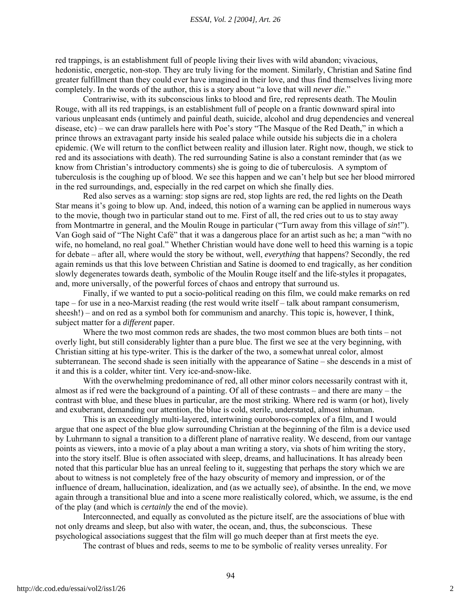red trappings, is an establishment full of people living their lives with wild abandon; vivacious, hedonistic, energetic, non-stop. They are truly living for the moment. Similarly, Christian and Satine find greater fulfillment than they could ever have imagined in their love, and thus find themselves living more completely. In the words of the author, this is a story about "a love that will *never die*."

Contrariwise, with its subconscious links to blood and fire, red represents death. The Moulin Rouge, with all its red trappings, is an establishment full of people on a frantic downward spiral into various unpleasant ends (untimely and painful death, suicide, alcohol and drug dependencies and venereal disease, etc) – we can draw parallels here with Poe's story "The Masque of the Red Death," in which a prince throws an extravagant party inside his sealed palace while outside his subjects die in a cholera epidemic. (We will return to the conflict between reality and illusion later. Right now, though, we stick to red and its associations with death). The red surrounding Satine is also a constant reminder that (as we know from Christian's introductory comments) she is going to die of tuberculosis. A symptom of tuberculosis is the coughing up of blood. We see this happen and we can't help but see her blood mirrored in the red surroundings, and, especially in the red carpet on which she finally dies.

Red also serves as a warning: stop signs are red, stop lights are red, the red lights on the Death Star means it's going to blow up. And, indeed, this notion of a warning can be applied in numerous ways to the movie, though two in particular stand out to me. First of all, the red cries out to us to stay away from Montmartre in general, and the Moulin Rouge in particular ("Turn away from this village of *sin*!"). Van Gogh said of "The Night Café" that it was a dangerous place for an artist such as he; a man "with no wife, no homeland, no real goal." Whether Christian would have done well to heed this warning is a topic for debate – after all, where would the story be without, well, *everything* that happens? Secondly, the red again reminds us that this love between Christian and Satine is doomed to end tragically, as her condition slowly degenerates towards death, symbolic of the Moulin Rouge itself and the life-styles it propagates, and, more universally, of the powerful forces of chaos and entropy that surround us.

Finally, if we wanted to put a socio-political reading on this film, we could make remarks on red tape – for use in a neo-Marxist reading (the rest would write itself – talk about rampant consumerism, sheesh!) – and on red as a symbol both for communism and anarchy. This topic is, however, I think, subject matter for a *different* paper.

Where the two most common reds are shades, the two most common blues are both tints – not overly light, but still considerably lighter than a pure blue. The first we see at the very beginning, with Christian sitting at his type-writer. This is the darker of the two, a somewhat unreal color, almost subterranean. The second shade is seen initially with the appearance of Satine – she descends in a mist of it and this is a colder, whiter tint. Very ice-and-snow-like.

With the overwhelming predominance of red, all other minor colors necessarily contrast with it, almost as if red were the background of a painting. Of all of these contrasts – and there are many – the contrast with blue, and these blues in particular, are the most striking. Where red is warm (or hot), lively and exuberant, demanding our attention, the blue is cold, sterile, understated, almost inhuman.

This is an exceedingly multi-layered, intertwining ouroboros-complex of a film, and I would argue that one aspect of the blue glow surrounding Christian at the beginning of the film is a device used by Luhrmann to signal a transition to a different plane of narrative reality. We descend, from our vantage points as viewers, into a movie of a play about a man writing a story, via shots of him writing the story, into the story itself. Blue is often associated with sleep, dreams, and hallucinations. It has already been noted that this particular blue has an unreal feeling to it, suggesting that perhaps the story which we are about to witness is not completely free of the hazy obscurity of memory and impression, or of the influence of dream, hallucination, idealization, and (as we actually see), of absinthe. In the end, we move again through a transitional blue and into a scene more realistically colored, which, we assume, is the end of the play (and which is *certainly* the end of the movie).

Interconnected, and equally as convoluted as the picture itself, are the associations of blue with not only dreams and sleep, but also with water, the ocean, and, thus, the subconscious. These psychological associations suggest that the film will go much deeper than at first meets the eye.

The contrast of blues and reds, seems to me to be symbolic of reality verses unreality. For